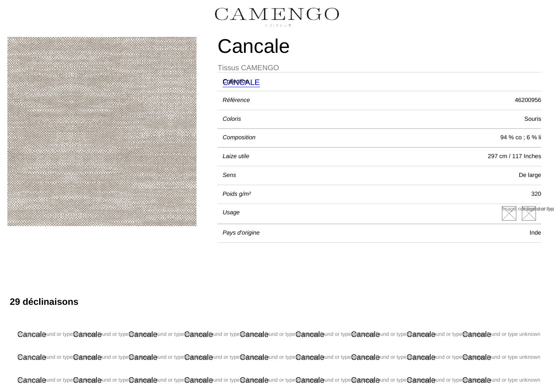## Cancale

Tissus CAMENGO

## COMPOTOPALE

| Référence              | 46200956                 |
|------------------------|--------------------------|
| Coloris                | Souris                   |
| Composition            | 94 % co ; 6 % li         |
| Laize utile            | 297 cm / 117 Inches      |
| Sens                   | De large                 |
| Poids g/m <sup>2</sup> | 320                      |
| Usage                  | mage noticlage chor ftyp |
| Pays d'origine         | Inde                     |
|                        |                          |

## 29 déclinaisons

Carcal aund or type Carcal aund or type Carcal aund or type Carcal aund or type Carcal aund or type Carcal aund or type Carcal aund or type Carcal aund or type Carcal aund or type Carcal aund or type unknown

Carcal aund or type Carcal aund or type Carcal aund or type Carcal aund or type Carcal aund or type Carcal aund or type Carcal aund or type Carcal aund or type Carcal aund or type Carcal aund or type unknown

Carcal bund or type Carcal bund or type Carcal bund or type Carcal bund or type Carcal bund or type Carcal bund or type Carcal bund or type Carcal bund or type Carcal bund or type Carcal bund or type unknown